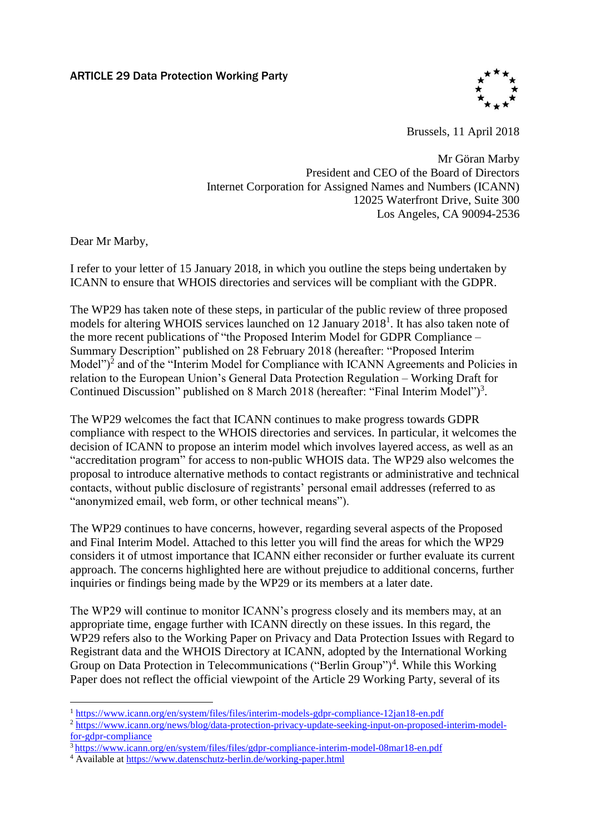

Brussels, 11 April 2018

Mr Göran Marby President and CEO of the Board of Directors Internet Corporation for Assigned Names and Numbers (ICANN) 12025 Waterfront Drive, Suite 300 Los Angeles, CA 90094-2536

Dear Mr Marby,

I refer to your letter of 15 January 2018, in which you outline the steps being undertaken by ICANN to ensure that WHOIS directories and services will be compliant with the GDPR.

The WP29 has taken note of these steps, in particular of the public review of three proposed models for altering WHOIS services launched on 12 January 2018<sup>1</sup>. It has also taken note of the more recent publications of "the Proposed Interim Model for GDPR Compliance – Summary Description" published on 28 February 2018 (hereafter: "Proposed Interim Model" $)^2$  and of the "Interim Model for Compliance with ICANN Agreements and Policies in relation to the European Union's General Data Protection Regulation – Working Draft for Continued Discussion" published on 8 March 2018 (hereafter: "Final Interim Model")<sup>3</sup>.

The WP29 welcomes the fact that ICANN continues to make progress towards GDPR compliance with respect to the WHOIS directories and services. In particular, it welcomes the decision of ICANN to propose an interim model which involves layered access, as well as an "accreditation program" for access to non-public WHOIS data. The WP29 also welcomes the proposal to introduce alternative methods to contact registrants or administrative and technical contacts, without public disclosure of registrants' personal email addresses (referred to as "anonymized email, web form, or other technical means").

The WP29 continues to have concerns, however, regarding several aspects of the Proposed and Final Interim Model. Attached to this letter you will find the areas for which the WP29 considers it of utmost importance that ICANN either reconsider or further evaluate its current approach. The concerns highlighted here are without prejudice to additional concerns, further inquiries or findings being made by the WP29 or its members at a later date.

The WP29 will continue to monitor ICANN's progress closely and its members may, at an appropriate time, engage further with ICANN directly on these issues. In this regard, the WP29 refers also to the Working Paper on Privacy and Data Protection Issues with Regard to Registrant data and the WHOIS Directory at ICANN, adopted by the International Working Group on Data Protection in Telecommunications ("Berlin Group")<sup>4</sup>. While this Working Paper does not reflect the official viewpoint of the Article 29 Working Party, several of its

<sup>1</sup> <sup>1</sup> https://www.icann.org/en/system/files/files/interim-models-gdpr-compliance-12jan18-en.pdf

<sup>&</sup>lt;sup>2</sup> https://www.icann.org/news/blog/data-protection-privacy-update-seeking-input-on-proposed-interim-modelfor-gdpr-compliance

<sup>3</sup> https://www.icann.org/en/system/files/files/gdpr-compliance-interim-model-08mar18-en.pdf

<sup>4</sup> Available at https://www.datenschutz-berlin.de/working-paper.html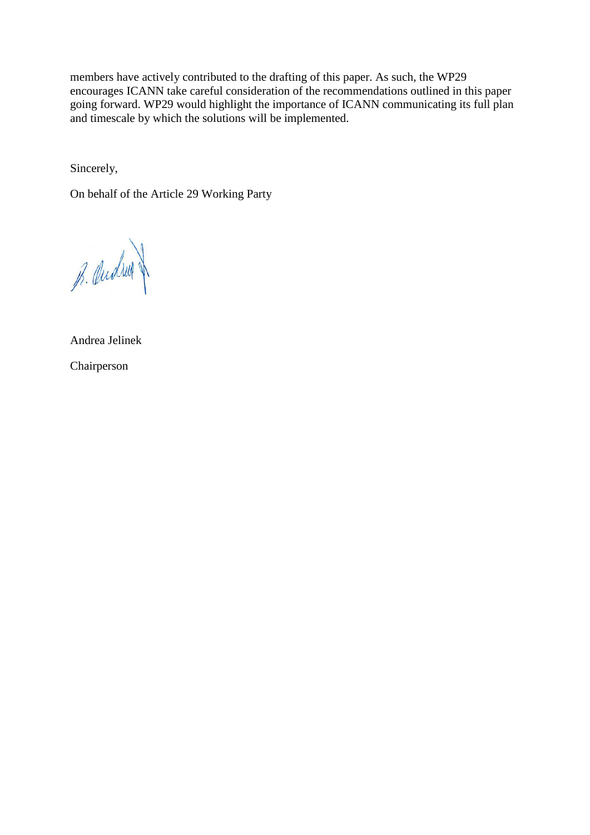members have actively contributed to the drafting of this paper. As such, the WP29 encourages ICANN take careful consideration of the recommendations outlined in this paper going forward. WP29 would highlight the importance of ICANN communicating its full plan and timescale by which the solutions will be implemented.

Sincerely,

On behalf of the Article 29 Working Party

B. Qualing

Andrea Jelinek Chairperson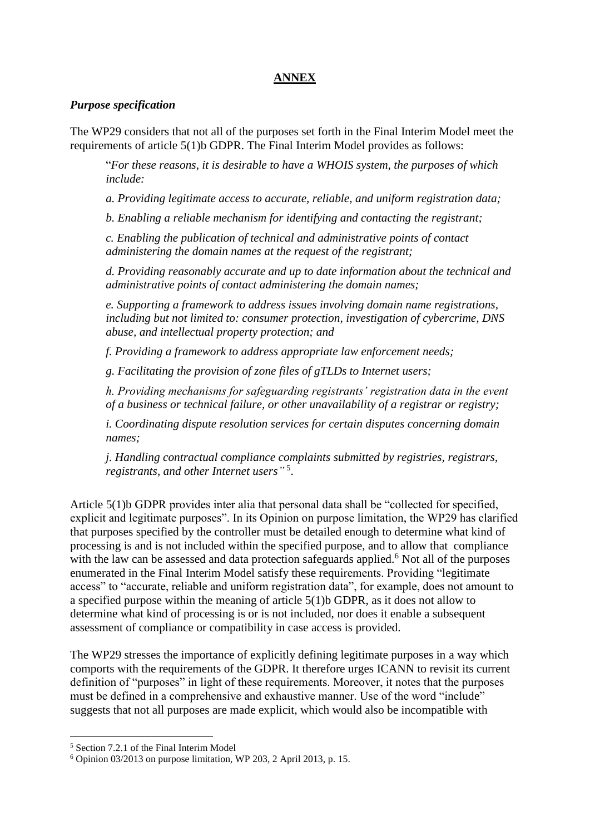# **ANNEX**

### *Purpose specification*

The WP29 considers that not all of the purposes set forth in the Final Interim Model meet the requirements of article 5(1)b GDPR. The Final Interim Model provides as follows:

"*For these reasons, it is desirable to have a WHOIS system, the purposes of which include:*

*a. Providing legitimate access to accurate, reliable, and uniform registration data;*

*b. Enabling a reliable mechanism for identifying and contacting the registrant;*

*c. Enabling the publication of technical and administrative points of contact administering the domain names at the request of the registrant;*

*d. Providing reasonably accurate and up to date information about the technical and administrative points of contact administering the domain names;*

*e. Supporting a framework to address issues involving domain name registrations, including but not limited to: consumer protection, investigation of cybercrime, DNS abuse, and intellectual property protection; and*

*f. Providing a framework to address appropriate law enforcement needs;*

*g. Facilitating the provision of zone files of gTLDs to Internet users;*

*h. Providing mechanisms for safeguarding registrants' registration data in the event of a business or technical failure, or other unavailability of a registrar or registry;*

*i. Coordinating dispute resolution services for certain disputes concerning domain names;*

*j. Handling contractual compliance complaints submitted by registries, registrars, registrants, and other Internet users"* 5 .

Article 5(1)b GDPR provides inter alia that personal data shall be "collected for specified, explicit and legitimate purposes". In its Opinion on purpose limitation, the WP29 has clarified that purposes specified by the controller must be detailed enough to determine what kind of processing is and is not included within the specified purpose, and to allow that compliance with the law can be assessed and data protection safeguards applied.<sup>6</sup> Not all of the purposes enumerated in the Final Interim Model satisfy these requirements. Providing "legitimate access" to "accurate, reliable and uniform registration data", for example, does not amount to a specified purpose within the meaning of article 5(1)b GDPR, as it does not allow to determine what kind of processing is or is not included, nor does it enable a subsequent assessment of compliance or compatibility in case access is provided.

The WP29 stresses the importance of explicitly defining legitimate purposes in a way which comports with the requirements of the GDPR. It therefore urges ICANN to revisit its current definition of "purposes" in light of these requirements. Moreover, it notes that the purposes must be defined in a comprehensive and exhaustive manner. Use of the word "include" suggests that not all purposes are made explicit, which would also be incompatible with

 $\overline{a}$ 

<sup>5</sup> Section 7.2.1 of the Final Interim Model

 $6$  Opinion 03/2013 on purpose limitation, WP 203, 2 April 2013, p. 15.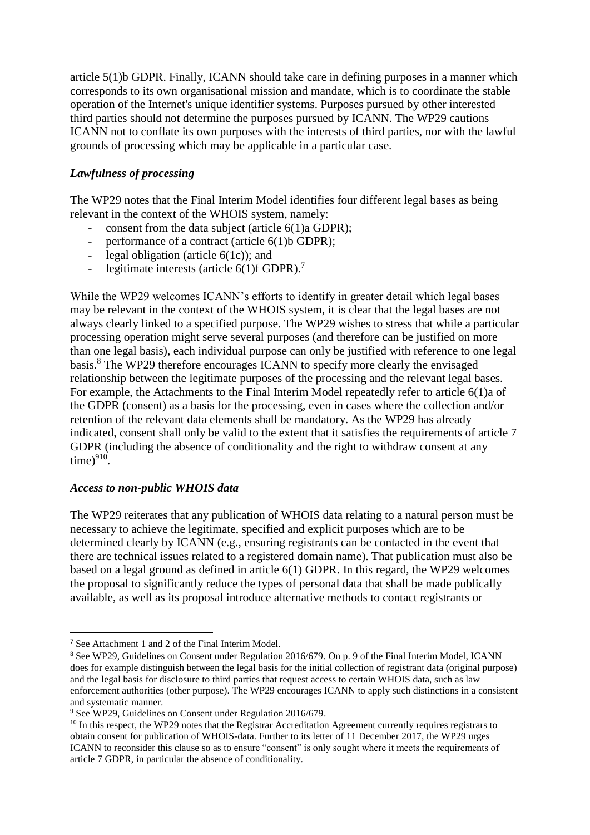article 5(1)b GDPR. Finally, ICANN should take care in defining purposes in a manner which corresponds to its own organisational mission and mandate, which is to coordinate the stable operation of the Internet's unique identifier systems. Purposes pursued by other interested third parties should not determine the purposes pursued by ICANN. The WP29 cautions ICANN not to conflate its own purposes with the interests of third parties, nor with the lawful grounds of processing which may be applicable in a particular case.

# *Lawfulness of processing*

The WP29 notes that the Final Interim Model identifies four different legal bases as being relevant in the context of the WHOIS system, namely:

- consent from the data subject (article  $6(1)a$  GDPR);
- performance of a contract (article 6(1)b GDPR);
- legal obligation (article 6(1c)); and
- legitimate interests (article  $6(1)$ f GDPR).<sup>7</sup>

While the WP29 welcomes ICANN's efforts to identify in greater detail which legal bases may be relevant in the context of the WHOIS system, it is clear that the legal bases are not always clearly linked to a specified purpose. The WP29 wishes to stress that while a particular processing operation might serve several purposes (and therefore can be justified on more than one legal basis), each individual purpose can only be justified with reference to one legal basis.<sup>8</sup> The WP29 therefore encourages ICANN to specify more clearly the envisaged relationship between the legitimate purposes of the processing and the relevant legal bases. For example, the Attachments to the Final Interim Model repeatedly refer to article 6(1)a of the GDPR (consent) as a basis for the processing, even in cases where the collection and/or retention of the relevant data elements shall be mandatory. As the WP29 has already indicated, consent shall only be valid to the extent that it satisfies the requirements of article 7 GDPR (including the absence of conditionality and the right to withdraw consent at any  $time)^{910}$ .

#### *Access to non-public WHOIS data*

The WP29 reiterates that any publication of WHOIS data relating to a natural person must be necessary to achieve the legitimate, specified and explicit purposes which are to be determined clearly by ICANN (e.g., ensuring registrants can be contacted in the event that there are technical issues related to a registered domain name). That publication must also be based on a legal ground as defined in article 6(1) GDPR. In this regard, the WP29 welcomes the proposal to significantly reduce the types of personal data that shall be made publically available, as well as its proposal introduce alternative methods to contact registrants or

**.** 

<sup>7</sup> See Attachment 1 and 2 of the Final Interim Model.

<sup>8</sup> See WP29, Guidelines on Consent under Regulation 2016/679. On p. 9 of the Final Interim Model, ICANN does for example distinguish between the legal basis for the initial collection of registrant data (original purpose) and the legal basis for disclosure to third parties that request access to certain WHOIS data, such as law enforcement authorities (other purpose). The WP29 encourages ICANN to apply such distinctions in a consistent and systematic manner.

<sup>9</sup> See WP29, Guidelines on Consent under Regulation 2016/679.

<sup>&</sup>lt;sup>10</sup> In this respect, the WP29 notes that the Registrar Accreditation Agreement currently requires registrars to obtain consent for publication of WHOIS-data. Further to its letter of 11 December 2017, the WP29 urges ICANN to reconsider this clause so as to ensure "consent" is only sought where it meets the requirements of article 7 GDPR, in particular the absence of conditionality.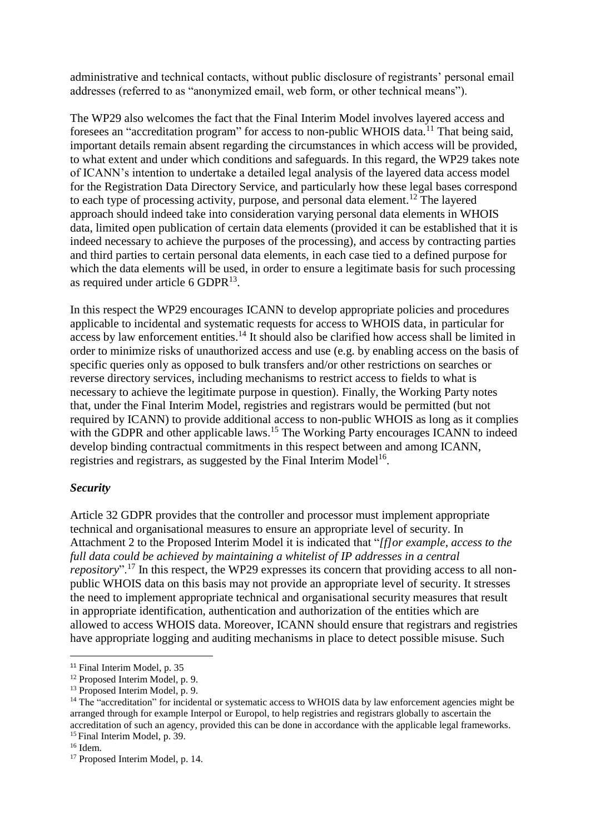administrative and technical contacts, without public disclosure of registrants' personal email addresses (referred to as "anonymized email, web form, or other technical means").

The WP29 also welcomes the fact that the Final Interim Model involves layered access and foresees an "accreditation program" for access to non-public WHOIS data.<sup>11</sup> That being said, important details remain absent regarding the circumstances in which access will be provided, to what extent and under which conditions and safeguards. In this regard, the WP29 takes note of ICANN's intention to undertake a detailed legal analysis of the layered data access model for the Registration Data Directory Service, and particularly how these legal bases correspond to each type of processing activity, purpose, and personal data element.<sup>12</sup> The layered approach should indeed take into consideration varying personal data elements in WHOIS data, limited open publication of certain data elements (provided it can be established that it is indeed necessary to achieve the purposes of the processing), and access by contracting parties and third parties to certain personal data elements, in each case tied to a defined purpose for which the data elements will be used, in order to ensure a legitimate basis for such processing as required under article  $6 \text{ GDPR}^{13}$ .

In this respect the WP29 encourages ICANN to develop appropriate policies and procedures applicable to incidental and systematic requests for access to WHOIS data, in particular for access by law enforcement entities.<sup>14</sup> It should also be clarified how access shall be limited in order to minimize risks of unauthorized access and use (e.g. by enabling access on the basis of specific queries only as opposed to bulk transfers and/or other restrictions on searches or reverse directory services, including mechanisms to restrict access to fields to what is necessary to achieve the legitimate purpose in question). Finally, the Working Party notes that, under the Final Interim Model, registries and registrars would be permitted (but not required by ICANN) to provide additional access to non-public WHOIS as long as it complies with the GDPR and other applicable laws.<sup>15</sup> The Working Party encourages ICANN to indeed develop binding contractual commitments in this respect between and among ICANN, registries and registrars, as suggested by the Final Interim Model<sup>16</sup>.

# *Security*

Article 32 GDPR provides that the controller and processor must implement appropriate technical and organisational measures to ensure an appropriate level of security. In Attachment 2 to the Proposed Interim Model it is indicated that "*[f]or example, access to the full data could be achieved by maintaining a whitelist of IP addresses in a central repository*".<sup>17</sup> In this respect, the WP29 expresses its concern that providing access to all nonpublic WHOIS data on this basis may not provide an appropriate level of security. It stresses the need to implement appropriate technical and organisational security measures that result in appropriate identification, authentication and authorization of the entities which are allowed to access WHOIS data. Moreover, ICANN should ensure that registrars and registries have appropriate logging and auditing mechanisms in place to detect possible misuse. Such

**.** 

<sup>&</sup>lt;sup>11</sup> Final Interim Model, p. 35

<sup>&</sup>lt;sup>12</sup> Proposed Interim Model, p. 9.

<sup>&</sup>lt;sup>13</sup> Proposed Interim Model, p. 9.

<sup>&</sup>lt;sup>14</sup> The "accreditation" for incidental or systematic access to WHOIS data by law enforcement agencies might be arranged through for example Interpol or Europol, to help registries and registrars globally to ascertain the accreditation of such an agency, provided this can be done in accordance with the applicable legal frameworks. <sup>15</sup> Final Interim Model, p. 39.

<sup>16</sup> Idem.

<sup>&</sup>lt;sup>17</sup> Proposed Interim Model, p. 14.